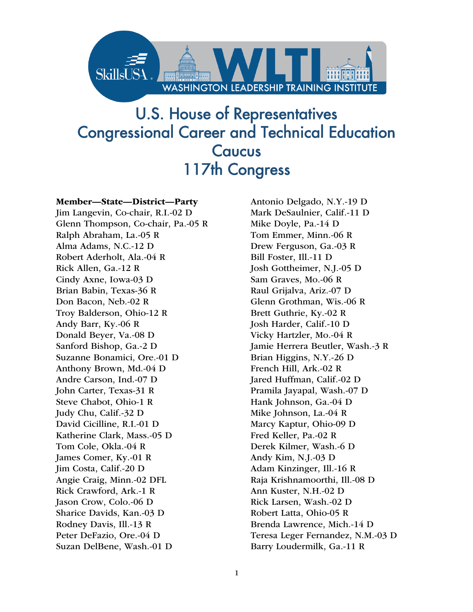

## U.S. House of Representatives Congressional Career and Technical Education **Caucus** 117th Congress

#### Member—State—District—Party

Jim Langevin, Co-chair, R.I.-02 D Glenn Thompson, Co-chair, Pa.-05 R Ralph Abraham, La.-05 R Alma Adams, N.C.-12 D Robert Aderholt, Ala.-04 R Rick Allen, Ga.-12 R Cindy Axne, Iowa-03 D Brian Babin, Texas-36 R Don Bacon, Neb.-02 R Troy Balderson, Ohio-12 R Andy Barr, Ky.-06 R Donald Beyer, Va.-08 D Sanford Bishop, Ga.-2 D Suzanne Bonamici, Ore.-01 D Anthony Brown, Md.-04 D Andre Carson, Ind.-07 D John Carter, Texas-31 R Steve Chabot, Ohio-1 R Judy Chu, Calif.-32 D David Cicilline, R.I.-01 D Katherine Clark, Mass.-05 D Tom Cole, Okla.-04 R James Comer, Ky.-01 R Jim Costa, Calif.-20 D Angie Craig, Minn.-02 DFL Rick Crawford, Ark.-1 R Jason Crow, Colo.-06 D Sharice Davids, Kan.-03 D Rodney Davis, Ill.-13 R Peter DeFazio, Ore.-04 D Suzan DelBene, Wash.-01 D

Antonio Delgado, N.Y.-19 D Mark DeSaulnier, Calif.-11 D Mike Doyle, Pa.-14 D Tom Emmer, Minn.-06 R Drew Ferguson, Ga.-03 R Bill Foster, Ill.-11 D Josh Gottheimer, N.J.-05 D Sam Graves, Mo.-06 R Raul Grijalva, Ariz.-07 D Glenn Grothman, Wis.-06 R Brett Guthrie, Ky.-02 R Josh Harder, Calif.-10 D Vicky Hartzler, Mo.-04 R Jamie Herrera Beutler, Wash.-3 R Brian Higgins, N.Y.-26 D French Hill, Ark.-02 R Jared Huffman, Calif.-02 D Pramila Jayapal, Wash.-07 D Hank Johnson, Ga.-04 D Mike Johnson, La.-04 R Marcy Kaptur, Ohio-09 D Fred Keller, Pa.-02 R Derek Kilmer, Wash.-6 D Andy Kim, N.J.-03 D Adam Kinzinger, Ill.-16 R Raja Krishnamoorthi, Ill.-08 D Ann Kuster, N.H.-02 D Rick Larsen, Wash.-02 D Robert Latta, Ohio-05 R Brenda Lawrence, Mich.-14 D Teresa Leger Fernandez, N.M.-03 D Barry Loudermilk, Ga.-11 R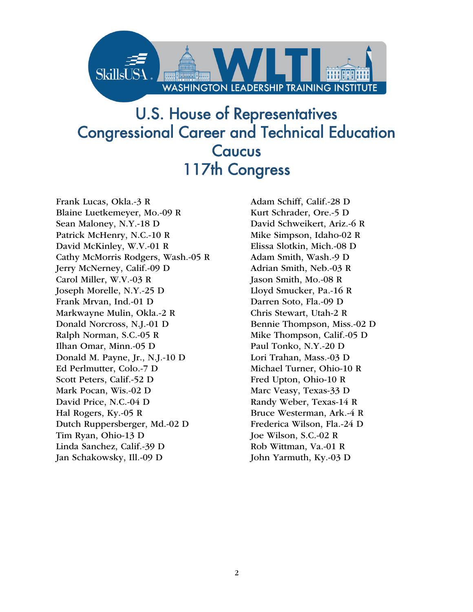

## U.S. House of Representatives Congressional Career and Technical Education Caucus 117th Congress

Frank Lucas, Okla.-3 R Blaine Luetkemeyer, Mo.-09 R Sean Maloney, N.Y.-18 D Patrick McHenry, N.C.-10 R David McKinley, W.V.-01 R Cathy McMorris Rodgers, Wash.-05 R Jerry McNerney, Calif.-09 D Carol Miller, W.V.-03 R Joseph Morelle, N.Y.-25 D Frank Mrvan, Ind.-01 D Markwayne Mulin, Okla.-2 R Donald Norcross, N.J.-01 D Ralph Norman, S.C.-05 R Ilhan Omar, Minn.-05 D Donald M. Payne, Jr., N.J.-10 D Ed Perlmutter, Colo.-7 D Scott Peters, Calif.-52 D Mark Pocan, Wis.-02 D David Price, N.C.-04 D Hal Rogers, Ky.-05 R Dutch Ruppersberger, Md.-02 D Tim Ryan, Ohio-13 D Linda Sanchez, Calif.-39 D Jan Schakowsky, Ill.-09 D

Adam Schiff, Calif.-28 D Kurt Schrader, Ore.-5 D David Schweikert, Ariz.-6 R Mike Simpson, Idaho-02 R Elissa Slotkin, Mich.-08 D Adam Smith, Wash.-9 D Adrian Smith, Neb.-03 R Jason Smith, Mo.-08 R Lloyd Smucker, Pa.-16 R Darren Soto, Fla.-09 D Chris Stewart, Utah-2 R Bennie Thompson, Miss.-02 D Mike Thompson, Calif.-05 D Paul Tonko, N.Y.-20 D Lori Trahan, Mass.-03 D Michael Turner, Ohio-10 R Fred Upton, Ohio-10 R Marc Veasy, Texas-33 D Randy Weber, Texas-14 R Bruce Westerman, Ark.-4 R Frederica Wilson, Fla.-24 D Joe Wilson, S.C.-02 R Rob Wittman, Va.-01 R John Yarmuth, Ky.-03 D